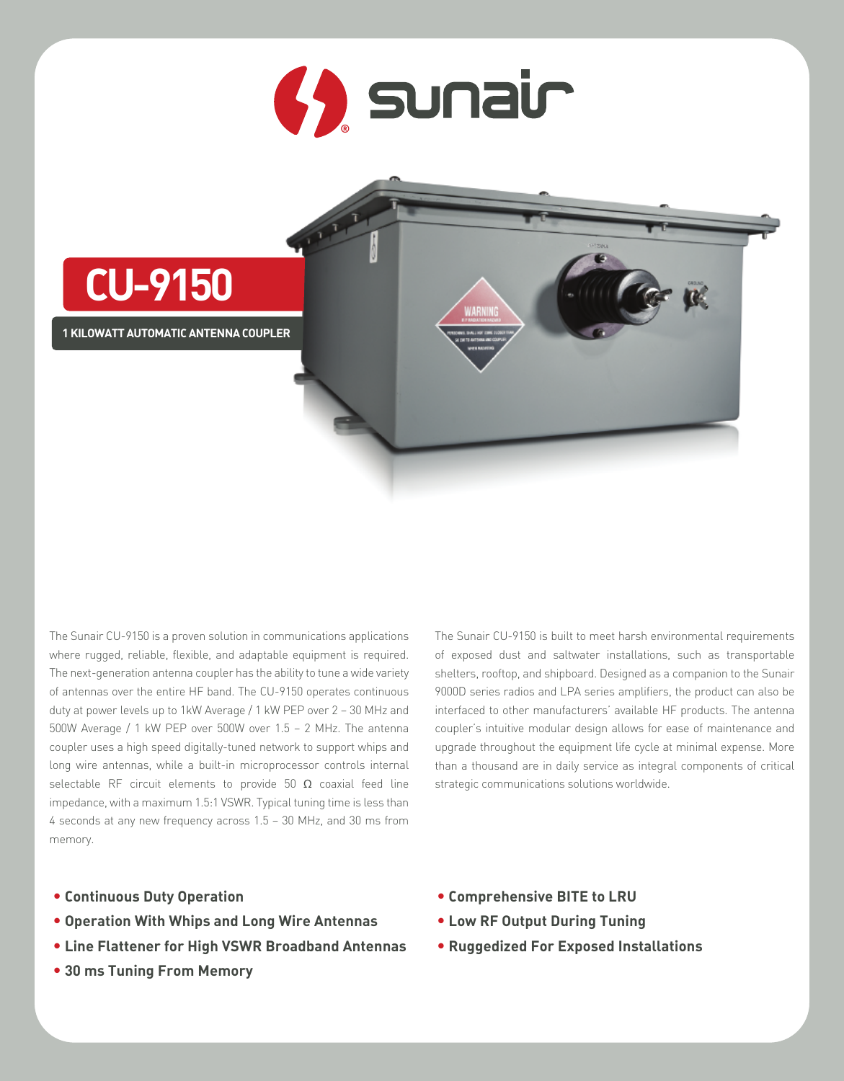



The Sunair CU-9150 is a proven solution in communications applications where rugged, reliable, flexible, and adaptable equipment is required. The next-generation antenna coupler has the ability to tune a wide variety of antennas over the entire HF band. The CU-9150 operates continuous duty at power levels up to 1kW Average / 1 kW PEP over 2 – 30 MHz and 500W Average / 1 kW PEP over 500W over 1.5 – 2 MHz. The antenna coupler uses a high speed digitally-tuned network to support whips and long wire antennas, while a built-in microprocessor controls internal selectable RF circuit elements to provide 50  $\Omega$  coaxial feed line impedance, with a maximum 1.5:1 VSWR. Typical tuning time is less than 4 seconds at any new frequency across 1.5 – 30 MHz, and 30 ms from memory.

The Sunair CU-9150 is built to meet harsh environmental requirements of exposed dust and saltwater installations, such as transportable shelters, rooftop, and shipboard. Designed as a companion to the Sunair 9000D series radios and LPA series amplifiers, the product can also be interfaced to other manufacturers' available HF products. The antenna coupler's intuitive modular design allows for ease of maintenance and upgrade throughout the equipment life cycle at minimal expense. More than a thousand are in daily service as integral components of critical strategic communications solutions worldwide.

- **• Continuous Duty Operation**
- **• Operation With Whips and Long Wire Antennas**
- **• Line Flattener for High VSWR Broadband Antennas**
- **• 30 ms Tuning From Memory**
- **• Comprehensive BITE to LRU**
- **• Low RF Output During Tuning**
- **• Ruggedized For Exposed Installations**